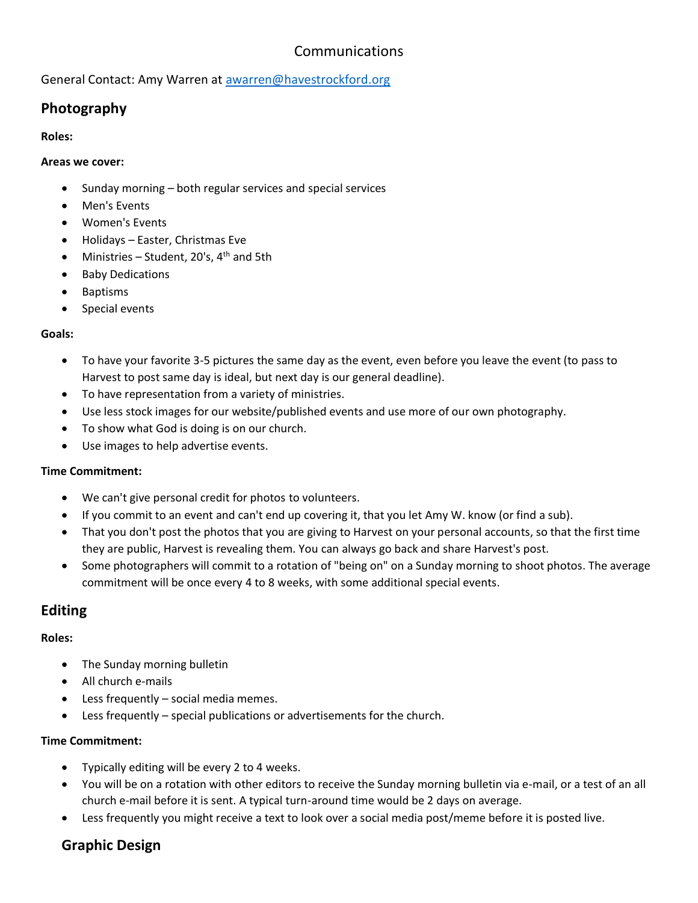# Communications

General Contact: Amy Warren at [awarren@havestrockford.org](mailto:awarren@havestrockford.org)

# **Photography**

### **Roles:**

### **Areas we cover:**

- Sunday morning both regular services and special services
- Men's Events
- Women's Events
- Holidays Easter, Christmas Eve
- Ministries Student, 20's,  $4<sup>th</sup>$  and 5th
- Baby Dedications
- Baptisms
- Special events

## **Goals:**

- To have your favorite 3-5 pictures the same day as the event, even before you leave the event (to pass to Harvest to post same day is ideal, but next day is our general deadline).
- To have representation from a variety of ministries.
- Use less stock images for our website/published events and use more of our own photography.
- To show what God is doing is on our church.
- Use images to help advertise events.

## **Time Commitment:**

- We can't give personal credit for photos to volunteers.
- If you commit to an event and can't end up covering it, that you let Amy W. know (or find a sub).
- That you don't post the photos that you are giving to Harvest on your personal accounts, so that the first time they are public, Harvest is revealing them. You can always go back and share Harvest's post.
- Some photographers will commit to a rotation of "being on" on a Sunday morning to shoot photos. The average commitment will be once every 4 to 8 weeks, with some additional special events.

## **Editing**

## **Roles:**

- The Sunday morning bulletin
- All church e-mails
- Less frequently social media memes.
- Less frequently special publications or advertisements for the church.

## **Time Commitment:**

- Typically editing will be every 2 to 4 weeks.
- You will be on a rotation with other editors to receive the Sunday morning bulletin via e-mail, or a test of an all church e-mail before it is sent. A typical turn-around time would be 2 days on average.
- Less frequently you might receive a text to look over a social media post/meme before it is posted live.

## **Graphic Design**